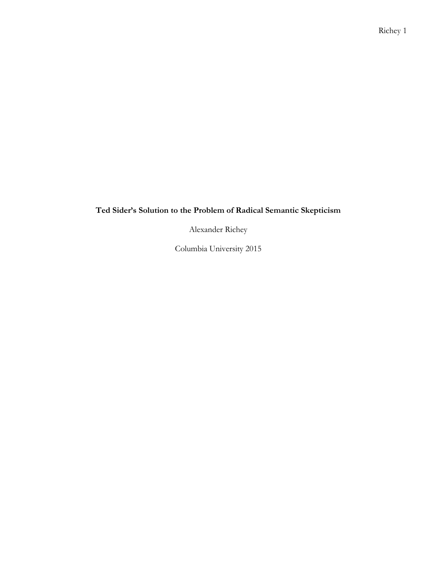## **Ted Sider's Solution to the Problem of Radical Semantic Skepticism**

Alexander Richey

Columbia University 2015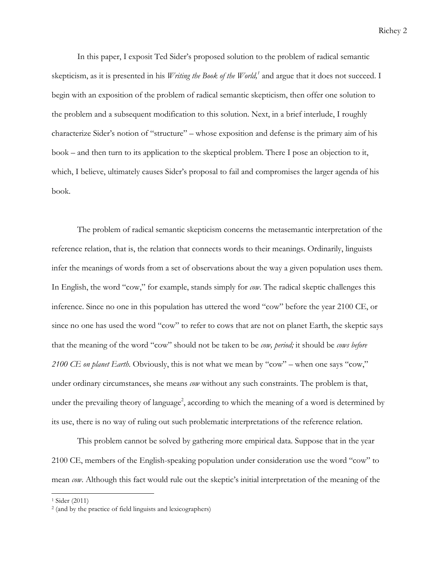In this paper, I exposit Ted Sider's proposed solution to the problem of radical semantic skepticism, as it is presented in his *Writing the Book of the World*,<sup>1</sup> and argue that it does not succeed. I begin with an exposition of the problem of radical semantic skepticism, then offer one solution to the problem and a subsequent modification to this solution. Next, in a brief interlude, I roughly characterize Sider's notion of "structure" – whose exposition and defense is the primary aim of his book – and then turn to its application to the skeptical problem. There I pose an objection to it, which, I believe, ultimately causes Sider's proposal to fail and compromises the larger agenda of his book.

The problem of radical semantic skepticism concerns the metasemantic interpretation of the reference relation, that is, the relation that connects words to their meanings. Ordinarily, linguists infer the meanings of words from a set of observations about the way a given population uses them. In English, the word "cow," for example, stands simply for *cow*. The radical skeptic challenges this inference. Since no one in this population has uttered the word "cow" before the year 2100 CE, or since no one has used the word "cow" to refer to cows that are not on planet Earth, the skeptic says that the meaning of the word "cow" should not be taken to be *cow, period;* it should be *cows before 2100 CE on planet Earth*. Obviously, this is not what we mean by "cow" – when one says "cow," under ordinary circumstances, she means *cow* without any such constraints. The problem is that, under the prevailing theory of language<sup>2</sup>, according to which the meaning of a word is determined by its use, there is no way of ruling out such problematic interpretations of the reference relation.

This problem cannot be solved by gathering more empirical data. Suppose that in the year 2100 CE, members of the English-speaking population under consideration use the word "cow" to mean *cow*. Although this fact would rule out the skeptic's initial interpretation of the meaning of the

<sup>1</sup> Sider (2011)

<sup>2</sup> (and by the practice of field linguists and lexicographers)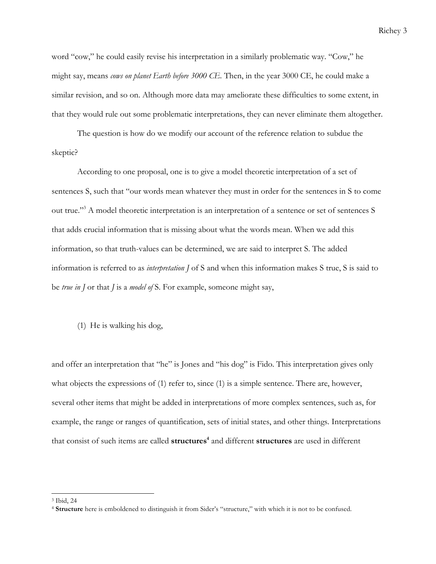word "cow," he could easily revise his interpretation in a similarly problematic way. "Cow," he might say, means *cows on planet Earth before 3000 CE.* Then, in the year 3000 CE, he could make a similar revision, and so on. Although more data may ameliorate these difficulties to some extent, in that they would rule out some problematic interpretations, they can never eliminate them altogether.

The question is how do we modify our account of the reference relation to subdue the skeptic?

According to one proposal, one is to give a model theoretic interpretation of a set of sentences S, such that "our words mean whatever they must in order for the sentences in S to come out true."3 A model theoretic interpretation is an interpretation of a sentence or set of sentences S that adds crucial information that is missing about what the words mean. When we add this information, so that truth-values can be determined, we are said to interpret S. The added information is referred to as *interpretation J* of S and when this information makes S true, S is said to be *true in J* or that *J* is a *model of* S. For example, someone might say,

(1) He is walking his dog,

and offer an interpretation that "he" is Jones and "his dog" is Fido. This interpretation gives only what objects the expressions of (1) refer to, since (1) is a simple sentence. There are, however, several other items that might be added in interpretations of more complex sentences, such as, for example, the range or ranges of quantification, sets of initial states, and other things. Interpretations that consist of such items are called **structures**<sup>4</sup> and different **structures** are used in different

<sup>3</sup> Ibid, 24

<sup>4</sup> **Structure** here is emboldened to distinguish it from Sider's "structure," with which it is not to be confused.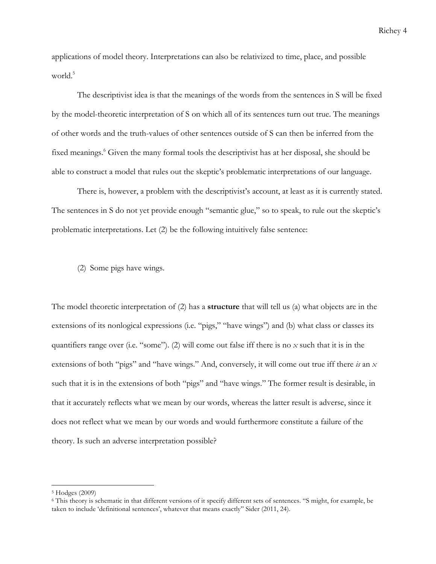applications of model theory. Interpretations can also be relativized to time, place, and possible world.<sup>5</sup>

The descriptivist idea is that the meanings of the words from the sentences in S will be fixed by the model-theoretic interpretation of S on which all of its sentences turn out true. The meanings of other words and the truth-values of other sentences outside of S can then be inferred from the fixed meanings.<sup>6</sup> Given the many formal tools the descriptivist has at her disposal, she should be able to construct a model that rules out the skeptic's problematic interpretations of our language.

There is, however, a problem with the descriptivist's account, at least as it is currently stated. The sentences in S do not yet provide enough "semantic glue," so to speak, to rule out the skeptic's problematic interpretations. Let (2) be the following intuitively false sentence:

(2) Some pigs have wings.

The model theoretic interpretation of (2) has a **structure** that will tell us (a) what objects are in the extensions of its nonlogical expressions (i.e. "pigs," "have wings") and (b) what class or classes its quantifiers range over (i.e. "some"). (2) will come out false iff there is no *x* such that it is in the extensions of both "pigs" and "have wings." And, conversely, it will come out true iff there *is* an *x* such that it is in the extensions of both "pigs" and "have wings." The former result is desirable, in that it accurately reflects what we mean by our words, whereas the latter result is adverse, since it does not reflect what we mean by our words and would furthermore constitute a failure of the theory. Is such an adverse interpretation possible?

<sup>5</sup> Hodges (2009)

<sup>6</sup> This theory is schematic in that different versions of it specify different sets of sentences. "S might, for example, be taken to include 'definitional sentences', whatever that means exactly" Sider (2011, 24).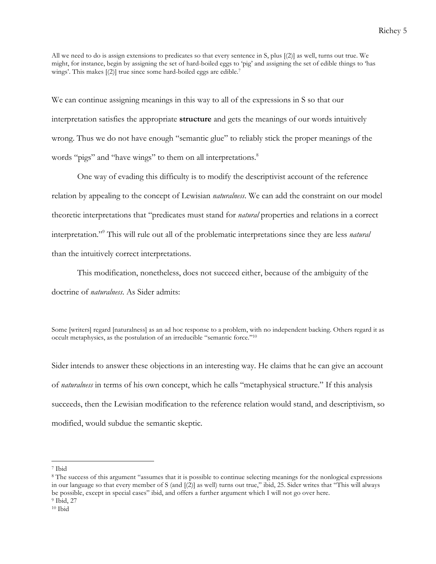All we need to do is assign extensions to predicates so that every sentence in S, plus [(2)] as well, turns out true. We might, for instance, begin by assigning the set of hard-boiled eggs to 'pig' and assigning the set of edible things to 'has wings'. This makes [(2)] true since some hard-boiled eggs are edible. 7

We can continue assigning meanings in this way to all of the expressions in S so that our interpretation satisfies the appropriate **structure** and gets the meanings of our words intuitively wrong. Thus we do not have enough "semantic glue" to reliably stick the proper meanings of the words "pigs" and "have wings" to them on all interpretations.<sup>8</sup>

One way of evading this difficulty is to modify the descriptivist account of the reference relation by appealing to the concept of Lewisian *naturalness*. We can add the constraint on our model theoretic interpretations that "predicates must stand for *natural* properties and relations in a correct interpretation."9 This will rule out all of the problematic interpretations since they are less *natural*  than the intuitively correct interpretations.

This modification, nonetheless, does not succeed either, because of the ambiguity of the doctrine of *naturalness*. As Sider admits:

Some [writers] regard [naturalness] as an ad hoc response to a problem, with no independent backing. Others regard it as occult metaphysics, as the postulation of an irreducible "semantic force."10

Sider intends to answer these objections in an interesting way. He claims that he can give an account of *naturalness* in terms of his own concept, which he calls "metaphysical structure." If this analysis succeeds, then the Lewisian modification to the reference relation would stand, and descriptivism, so modified, would subdue the semantic skeptic.

<sup>7</sup> Ibid

<sup>8</sup> The success of this argument "assumes that it is possible to continue selecting meanings for the nonlogical expressions in our language so that every member of S (and [(2)] as well) turns out true," ibid, 25. Sider writes that "This will always be possible, except in special cases" ibid, and offers a further argument which I will not go over here. <sup>9</sup> Ibid, 27

<sup>10</sup> Ibid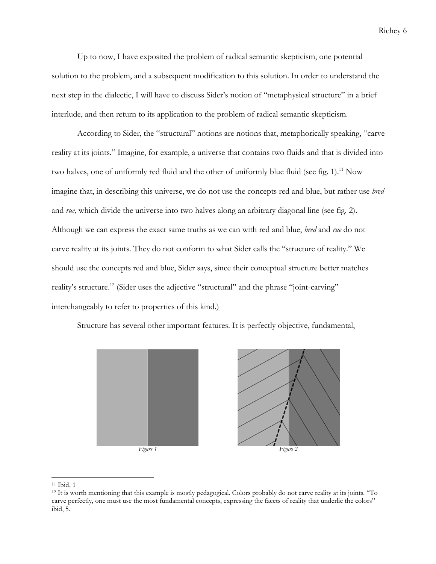Up to now, I have exposited the problem of radical semantic skepticism, one potential solution to the problem, and a subsequent modification to this solution. In order to understand the next step in the dialectic, I will have to discuss Sider's notion of "metaphysical structure" in a brief interlude, and then return to its application to the problem of radical semantic skepticism.

According to Sider, the "structural" notions are notions that, metaphorically speaking, "carve reality at its joints." Imagine, for example, a universe that contains two fluids and that is divided into two halves, one of uniformly red fluid and the other of uniformly blue fluid (see fig. 1).<sup>11</sup> Now imagine that, in describing this universe, we do not use the concepts red and blue, but rather use *bred* and *rue*, which divide the universe into two halves along an arbitrary diagonal line (see fig. 2). Although we can express the exact same truths as we can with red and blue, *bred* and *rue* do not carve reality at its joints. They do not conform to what Sider calls the "structure of reality." We should use the concepts red and blue, Sider says, since their conceptual structure better matches reality's structure.<sup>12</sup> (Sider uses the adjective "structural" and the phrase "joint-carving" interchangeably to refer to properties of this kind.)

Structure has several other important features. It is perfectly objective, fundamental,



 <sup>11</sup> Ibid, 1

<sup>12</sup> It is worth mentioning that this example is mostly pedagogical. Colors probably do not carve reality at its joints. "To carve perfectly, one must use the most fundamental concepts, expressing the facets of reality that underlie the colors" ibid, 5.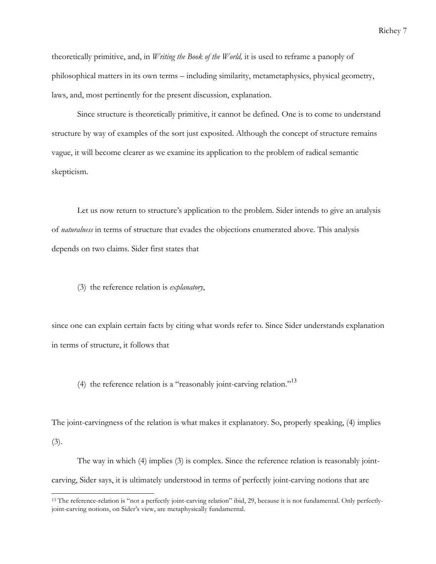theoretically primitive, and, in *Writing the Book of the World,* it is used to reframe a panoply of philosophical matters in its own terms – including similarity, metametaphysics, physical geometry, laws, and, most pertinently for the present discussion, explanation.

Since structure is theoretically primitive, it cannot be defined. One is to come to understand structure by way of examples of the sort just exposited. Although the concept of structure remains vague, it will become clearer as we examine its application to the problem of radical semantic skepticism.

Let us now return to structure's application to the problem. Sider intends to give an analysis of *naturalness* in terms of structure that evades the objections enumerated above. This analysis depends on two claims. Sider first states that

(3) the reference relation is *explanatory*,

 

since one can explain certain facts by citing what words refer to. Since Sider understands explanation in terms of structure, it follows that

(4) the reference relation is a "reasonably joint-carving relation."<sup>13</sup>

The joint-carvingness of the relation is what makes it explanatory. So, properly speaking, (4) implies (3).

The way in which (4) implies (3) is complex. Since the reference relation is reasonably jointcarving, Sider says, it is ultimately understood in terms of perfectly joint-carving notions that are

<sup>&</sup>lt;sup>13</sup> The reference-relation is "not a perfectly joint-carving relation" ibid, 29, because it is not fundamental. Only perfectlyjoint-carving notions, on Sider's view, are metaphysically fundamental.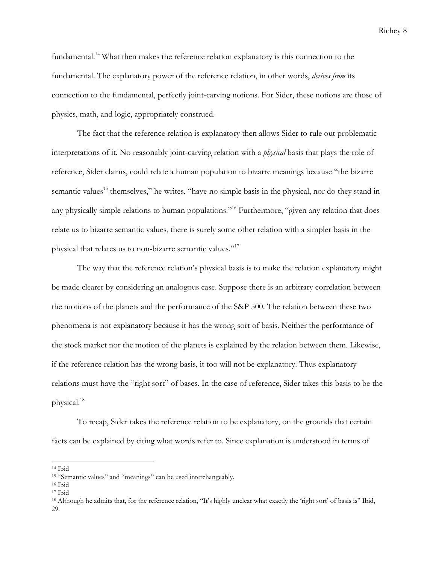fundamental. <sup>14</sup> What then makes the reference relation explanatory is this connection to the fundamental. The explanatory power of the reference relation, in other words, *derives from* its connection to the fundamental, perfectly joint-carving notions. For Sider, these notions are those of physics, math, and logic, appropriately construed.

The fact that the reference relation is explanatory then allows Sider to rule out problematic interpretations of it. No reasonably joint-carving relation with a *physical* basis that plays the role of reference, Sider claims, could relate a human population to bizarre meanings because "the bizarre semantic values<sup>15</sup> themselves," he writes, "have no simple basis in the physical, nor do they stand in any physically simple relations to human populations."<sup>16</sup> Furthermore, "given any relation that does relate us to bizarre semantic values, there is surely some other relation with a simpler basis in the physical that relates us to non-bizarre semantic values."17

The way that the reference relation's physical basis is to make the relation explanatory might be made clearer by considering an analogous case. Suppose there is an arbitrary correlation between the motions of the planets and the performance of the S&P 500. The relation between these two phenomena is not explanatory because it has the wrong sort of basis. Neither the performance of the stock market nor the motion of the planets is explained by the relation between them. Likewise, if the reference relation has the wrong basis, it too will not be explanatory. Thus explanatory relations must have the "right sort" of bases. In the case of reference, Sider takes this basis to be the physical.18

To recap, Sider takes the reference relation to be explanatory, on the grounds that certain facts can be explained by citing what words refer to. Since explanation is understood in terms of

<sup>14</sup> Ibid

<sup>15</sup> "Semantic values" and "meanings" can be used interchangeably.

<sup>16</sup> Ibid

<sup>17</sup> Ibid

<sup>18</sup> Although he admits that, for the reference relation, "It's highly unclear what exactly the 'right sort' of basis is" Ibid, 29.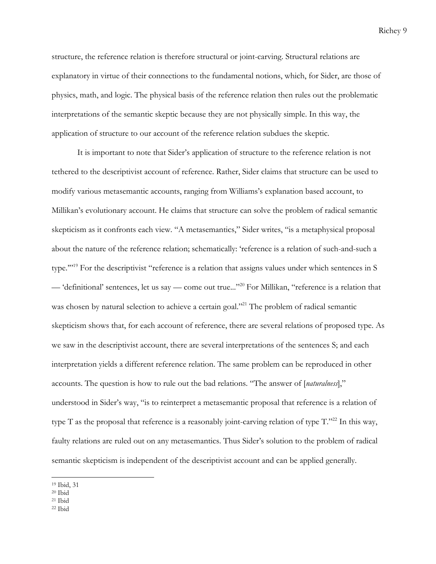structure, the reference relation is therefore structural or joint-carving. Structural relations are explanatory in virtue of their connections to the fundamental notions, which, for Sider, are those of physics, math, and logic. The physical basis of the reference relation then rules out the problematic interpretations of the semantic skeptic because they are not physically simple. In this way, the application of structure to our account of the reference relation subdues the skeptic.

It is important to note that Sider's application of structure to the reference relation is not tethered to the descriptivist account of reference. Rather, Sider claims that structure can be used to modify various metasemantic accounts, ranging from Williams's explanation based account, to Millikan's evolutionary account. He claims that structure can solve the problem of radical semantic skepticism as it confronts each view. "A metasemantics," Sider writes, "is a metaphysical proposal about the nature of the reference relation; schematically: 'reference is a relation of such-and-such a type.'"19 For the descriptivist "reference is a relation that assigns values under which sentences in S — 'definitional' sentences, let us say — come out true..."20 For Millikan, "reference is a relation that was chosen by natural selection to achieve a certain goal."<sup>21</sup> The problem of radical semantic skepticism shows that, for each account of reference, there are several relations of proposed type. As we saw in the descriptivist account, there are several interpretations of the sentences S; and each interpretation yields a different reference relation. The same problem can be reproduced in other accounts. The question is how to rule out the bad relations. "The answer of [*naturalness*]," understood in Sider's way, "is to reinterpret a metasemantic proposal that reference is a relation of type T as the proposal that reference is a reasonably joint-carving relation of type  $T$ ."<sup>22</sup> In this way, faulty relations are ruled out on any metasemantics. Thus Sider's solution to the problem of radical semantic skepticism is independent of the descriptivist account and can be applied generally.

<sup>19</sup> Ibid, 31

<sup>20</sup> Ibid

 $21$  Ibid

<sup>22</sup> Ibid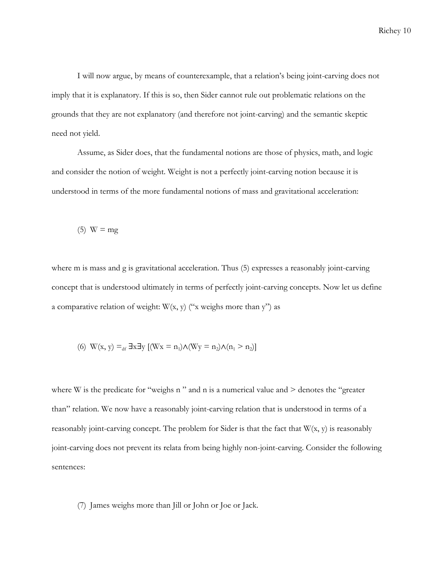I will now argue, by means of counterexample, that a relation's being joint-carving does not imply that it is explanatory. If this is so, then Sider cannot rule out problematic relations on the grounds that they are not explanatory (and therefore not joint-carving) and the semantic skeptic need not yield.

Assume, as Sider does, that the fundamental notions are those of physics, math, and logic and consider the notion of weight. Weight is not a perfectly joint-carving notion because it is understood in terms of the more fundamental notions of mass and gravitational acceleration:

$$
(5) W = mg
$$

where m is mass and g is gravitational acceleration. Thus (5) expresses a reasonably joint-carving concept that is understood ultimately in terms of perfectly joint-carving concepts. Now let us define a comparative relation of weight:  $W(x, y)$  ("x weighs more than y") as

(6) 
$$
W(x, y) =_{df} \exists x \exists y [(Wx = n_1) \land (Wy = n_2) \land (n_1 > n_2)]
$$

where W is the predicate for "weighs n " and n is a numerical value and  $>$  denotes the "greater" than" relation. We now have a reasonably joint-carving relation that is understood in terms of a reasonably joint-carving concept. The problem for Sider is that the fact that  $W(x, y)$  is reasonably joint-carving does not prevent its relata from being highly non-joint-carving. Consider the following sentences:

(7) James weighs more than Jill or John or Joe or Jack.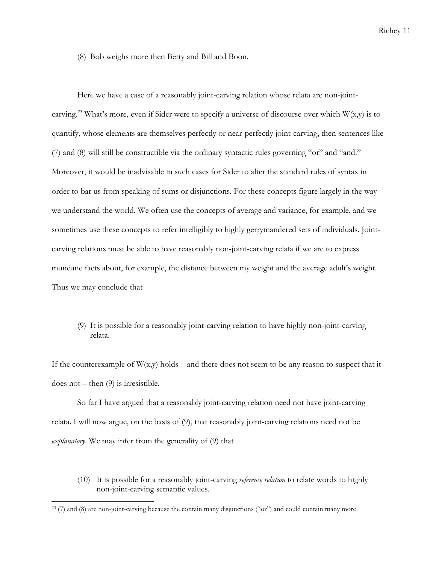(8) Bob weighs more then Betty and Bill and Boon.

Here we have a case of a reasonably joint-carving relation whose relata are non-jointcarving.<sup>23</sup> What's more, even if Sider were to specify a universe of discourse over which  $W(x,y)$  is to quantify, whose elements are themselves perfectly or near-perfectly joint-carving, then sentences like (7) and (8) will still be constructible via the ordinary syntactic rules governing "or" and "and." Moreover, it would be inadvisable in such cases for Sider to alter the standard rules of syntax in order to bar us from speaking of sums or disjunctions. For these concepts figure largely in the way we understand the world. We often use the concepts of average and variance, for example, and we sometimes use these concepts to refer intelligibly to highly gerrymandered sets of individuals. Jointcarving relations must be able to have reasonably non-joint-carving relata if we are to express mundane facts about, for example, the distance between my weight and the average adult's weight. Thus we may conclude that

(9) It is possible for a reasonably joint-carving relation to have highly non-joint-carving relata.

If the counterexample of  $W(x,y)$  holds – and there does not seem to be any reason to suspect that it does not – then  $(9)$  is irresistible.

So far I have argued that a reasonably joint-carving relation need not have joint-carving relata. I will now argue, on the basis of (9), that reasonably joint-carving relations need not be *explanatory*. We may infer from the generality of (9) that

(10) It is possible for a reasonably joint-carving *reference relation* to relate words to highly non-joint-carving semantic values.

 $^{23}$  (7) and (8) are non-joint-carving because the contain many disjunctions ("or") and could contain many more.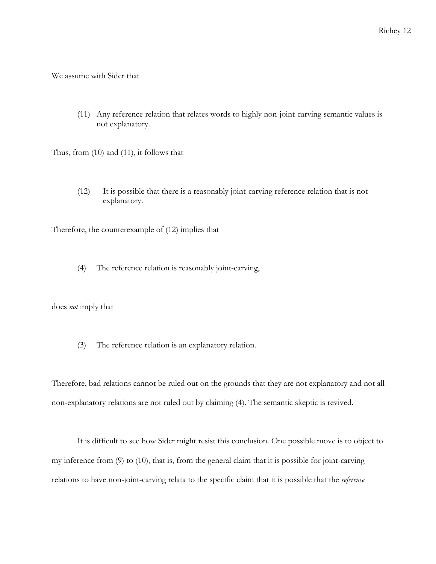We assume with Sider that

(11) Any reference relation that relates words to highly non-joint-carving semantic values is not explanatory.

Thus, from (10) and (11), it follows that

(12) It is possible that there is a reasonably joint-carving reference relation that is not explanatory.

Therefore, the counterexample of (12) implies that

(4) The reference relation is reasonably joint-carving,

does *not* imply that

(3) The reference relation is an explanatory relation.

Therefore, bad relations cannot be ruled out on the grounds that they are not explanatory and not all non-explanatory relations are not ruled out by claiming (4). The semantic skeptic is revived.

It is difficult to see how Sider might resist this conclusion. One possible move is to object to my inference from (9) to (10), that is, from the general claim that it is possible for joint-carving relations to have non-joint-carving relata to the specific claim that it is possible that the *reference*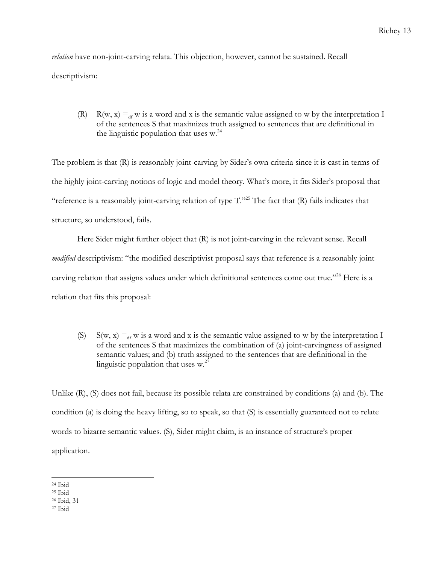*relation* have non-joint-carving relata. This objection, however, cannot be sustained. Recall descriptivism:

(R) R(w, x)  $=_{df}$  w is a word and x is the semantic value assigned to w by the interpretation I of the sentences S that maximizes truth assigned to sentences that are definitional in the linguistic population that uses  $w<sup>24</sup>$ 

The problem is that (R) is reasonably joint-carving by Sider's own criteria since it is cast in terms of the highly joint-carving notions of logic and model theory. What's more, it fits Sider's proposal that "reference is a reasonably joint-carving relation of type T."25 The fact that (R) fails indicates that structure, so understood, fails.

Here Sider might further object that (R) is not joint-carving in the relevant sense. Recall *modified* descriptivism: "the modified descriptivist proposal says that reference is a reasonably jointcarving relation that assigns values under which definitional sentences come out true."<sup>26</sup> Here is a relation that fits this proposal:

(S) S(w, x)  $\equiv_{df} w$  is a word and x is the semantic value assigned to w by the interpretation I of the sentences S that maximizes the combination of (a) joint-carvingness of assigned semantic values; and (b) truth assigned to the sentences that are definitional in the linguistic population that uses  $w^2$ .

Unlike (R), (S) does not fail, because its possible relata are constrained by conditions (a) and (b). The condition (a) is doing the heavy lifting, so to speak, so that (S) is essentially guaranteed not to relate words to bizarre semantic values. (S), Sider might claim, is an instance of structure's proper application.

 <sup>24</sup> Ibid

<sup>25</sup> Ibid

<sup>26</sup> Ibid, 31

<sup>27</sup> Ibid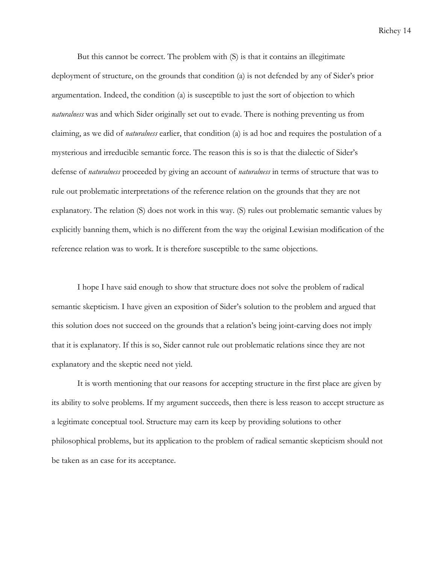But this cannot be correct. The problem with (S) is that it contains an illegitimate deployment of structure, on the grounds that condition (a) is not defended by any of Sider's prior argumentation. Indeed, the condition (a) is susceptible to just the sort of objection to which *naturalness* was and which Sider originally set out to evade. There is nothing preventing us from claiming, as we did of *naturalness* earlier, that condition (a) is ad hoc and requires the postulation of a mysterious and irreducible semantic force. The reason this is so is that the dialectic of Sider's defense of *naturalness* proceeded by giving an account of *naturalness* in terms of structure that was to rule out problematic interpretations of the reference relation on the grounds that they are not explanatory. The relation (S) does not work in this way. (S) rules out problematic semantic values by explicitly banning them, which is no different from the way the original Lewisian modification of the reference relation was to work. It is therefore susceptible to the same objections.

I hope I have said enough to show that structure does not solve the problem of radical semantic skepticism. I have given an exposition of Sider's solution to the problem and argued that this solution does not succeed on the grounds that a relation's being joint-carving does not imply that it is explanatory. If this is so, Sider cannot rule out problematic relations since they are not explanatory and the skeptic need not yield.

It is worth mentioning that our reasons for accepting structure in the first place are given by its ability to solve problems. If my argument succeeds, then there is less reason to accept structure as a legitimate conceptual tool. Structure may earn its keep by providing solutions to other philosophical problems, but its application to the problem of radical semantic skepticism should not be taken as an case for its acceptance.